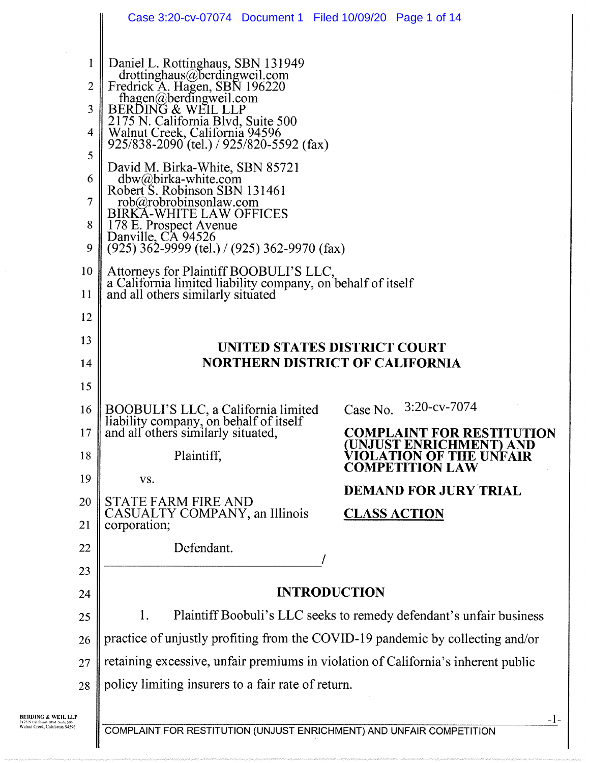|                                                        | Case 3:20-cv-07074 Document 1 Filed 10/09/20 Page 1 of 14                                                                                                                                                                                                                                                                                                                                                                                                                          |                                                    |  |  |  |  |  |
|--------------------------------------------------------|------------------------------------------------------------------------------------------------------------------------------------------------------------------------------------------------------------------------------------------------------------------------------------------------------------------------------------------------------------------------------------------------------------------------------------------------------------------------------------|----------------------------------------------------|--|--|--|--|--|
| 1<br>$\overline{2}$<br>3<br>4<br>5<br>6<br>$\tau$<br>8 | Daniel L. Rottinghaus, SBN 131949<br>drottinghaus@berdingweil.com<br>Fredrick A. Hagen, SBN 196220<br>fhagen@berdingweil.com<br>BERDING & WEIL LLP<br>2175 N. California Blvd, Suite 500<br>Walnut Creek, California 94596<br>925/838-2090 (tel.) / 925/820-5592 (fax)<br>David M. Birka-White, SBN 85721<br>dbw@birka-white.com<br>Robert S. Robinson SBN 131461<br>$rob(a)$ robrobinsonlaw.com<br><b>BIRKA-WHITE LAW OFFICES</b><br>178 E. Prospect Avenue<br>Danville, CA 94526 |                                                    |  |  |  |  |  |
| 9                                                      | $(925)$ 362-9999 (tel.) / (925) 362-9970 (fax)                                                                                                                                                                                                                                                                                                                                                                                                                                     |                                                    |  |  |  |  |  |
| 10<br>11                                               | Attorneys for Plaintiff BOOBULI'S LLC,<br>a California limited liability company, on behalf of itself<br>and all others similarly situated                                                                                                                                                                                                                                                                                                                                         |                                                    |  |  |  |  |  |
| 12                                                     |                                                                                                                                                                                                                                                                                                                                                                                                                                                                                    |                                                    |  |  |  |  |  |
| 13                                                     | UNITED STATES DISTRICT COURT                                                                                                                                                                                                                                                                                                                                                                                                                                                       |                                                    |  |  |  |  |  |
| 14                                                     |                                                                                                                                                                                                                                                                                                                                                                                                                                                                                    | <b>NORTHERN DISTRICT OF CALIFORNIA</b>             |  |  |  |  |  |
| 15                                                     |                                                                                                                                                                                                                                                                                                                                                                                                                                                                                    |                                                    |  |  |  |  |  |
| 16                                                     | BOOBULI'S LLC, a California limited                                                                                                                                                                                                                                                                                                                                                                                                                                                | Case No. 3:20-cv-7074                              |  |  |  |  |  |
| 17                                                     | liability company, on behalf of itself<br>and all others similarly situated,                                                                                                                                                                                                                                                                                                                                                                                                       | <b>COMPLAINT FOR RESTITUTION</b>                   |  |  |  |  |  |
| 18                                                     | Plaintiff,                                                                                                                                                                                                                                                                                                                                                                                                                                                                         | UNJUST ENRICHMENT) AND<br><b>TION OF THE UNFAI</b> |  |  |  |  |  |
| 19                                                     | VS.                                                                                                                                                                                                                                                                                                                                                                                                                                                                                | <b>COMPETITION LAW</b>                             |  |  |  |  |  |
| 20                                                     | <b>STATE FARM FIRE AND</b>                                                                                                                                                                                                                                                                                                                                                                                                                                                         | <b>DEMAND FOR JURY TRIAL</b>                       |  |  |  |  |  |
| 21                                                     | CASUALTY COMPANY, an Illinois<br>corporation;                                                                                                                                                                                                                                                                                                                                                                                                                                      | <b>CLASS ACTION</b>                                |  |  |  |  |  |
| 22                                                     | Defendant.                                                                                                                                                                                                                                                                                                                                                                                                                                                                         |                                                    |  |  |  |  |  |
| 23                                                     |                                                                                                                                                                                                                                                                                                                                                                                                                                                                                    |                                                    |  |  |  |  |  |
| 24                                                     | <b>INTRODUCTION</b>                                                                                                                                                                                                                                                                                                                                                                                                                                                                |                                                    |  |  |  |  |  |
| 25                                                     | Plaintiff Boobuli's LLC seeks to remedy defendant's unfair business<br>1.                                                                                                                                                                                                                                                                                                                                                                                                          |                                                    |  |  |  |  |  |
| 26                                                     | practice of unjustly profiting from the COVID-19 pandemic by collecting and/or                                                                                                                                                                                                                                                                                                                                                                                                     |                                                    |  |  |  |  |  |
| 27                                                     | retaining excessive, unfair premiums in violation of California's inherent public                                                                                                                                                                                                                                                                                                                                                                                                  |                                                    |  |  |  |  |  |
| 28                                                     | policy limiting insurers to a fair rate of return.                                                                                                                                                                                                                                                                                                                                                                                                                                 |                                                    |  |  |  |  |  |
|                                                        |                                                                                                                                                                                                                                                                                                                                                                                                                                                                                    |                                                    |  |  |  |  |  |

COMPLAINT FOR RESTITUTION (UNJUST ENRICHMENT) AND UNFAIR COMPETITION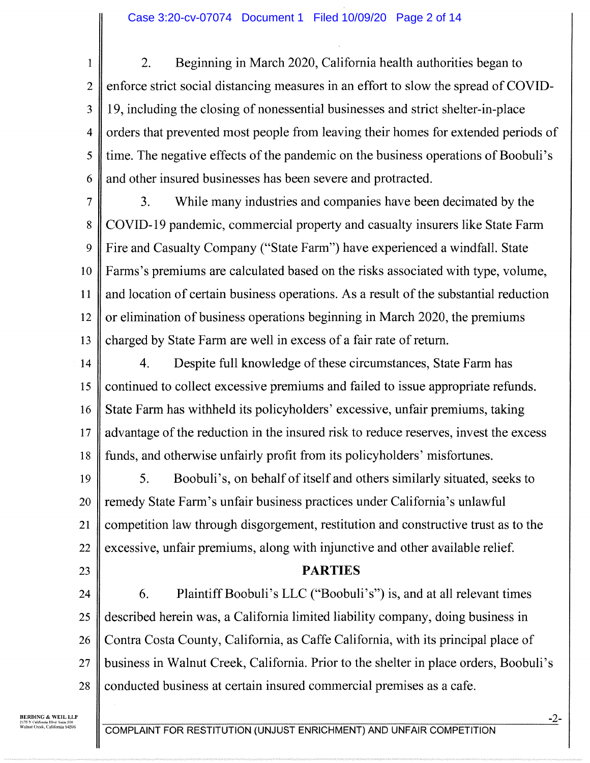1 2 3 4 5 6 2. Beginning in March 2020, California health authorities began to enforce strict social distancing measures in an effort to slow the spread of COVID-19, including the closing of nonessential businesses and strict shelter-in-place orders that prevented most people from leaving their homes for extended periods of time. The negative effects of the pandemic on the business operations of Boobuli's and other insured businesses has been severe and protracted.

7 8 9 10 11 12 13 3. While many industries and companies have been decimated by the COVID-19 pandemic, commercial property and casualty insurers like State Farm Fire and Casualty Company ("State Farm") have experienced a windfall. State Farms's premiums are calculated based on the risks associated with type, volume, and location of certain business operations. As a result of the substantial reduction or elimination of business operations beginning in March 2020, the premiums charged by State Farm are well in excess of a fair rate of return.

14 15 16 17 18 4. Despite full knowledge of these circumstances, State Farm has continued to collect excessive premiums and failed to issue appropriate refunds. State Farm has withheld its policyholders' excessive, unfair premiums, taking advantage of the reduction in the insured risk to reduce reserves, invest the excess funds, and otherwise unfairly profit from its policyholders' misfortunes.

19 20 21 22 5. Boobuli's, on behalf of itself and others similarly situated, seeks to remedy State Farm's unfair business practices under California's unlawful competition law through disgorgement, restitution and constructive trust as to the excessive, unfair premiums, along with injunctive and other available relief.

23

## PARTIES

24 25 26 27 28 6. Plaintiff Boobuli's LLC ("Boobuli's") is, and at all relevant times described herein was, a California limited liability company, doing business in Contra Costa County, California, as Caffe California, with its principal place of business in Walnut Creek, California. Prior to the shelter in place orders, Boobuli's conducted business at certain insured commercial premises as a cafe.

BERDING & WEIL LLP 2175 N Califonlis Blvd Suite 500 Walnut Crook. California 94596

COMPLAINT FOR RESTITUTION (UNJUST ENRICHMENT) AND UNFAIR COMPETITION

-2-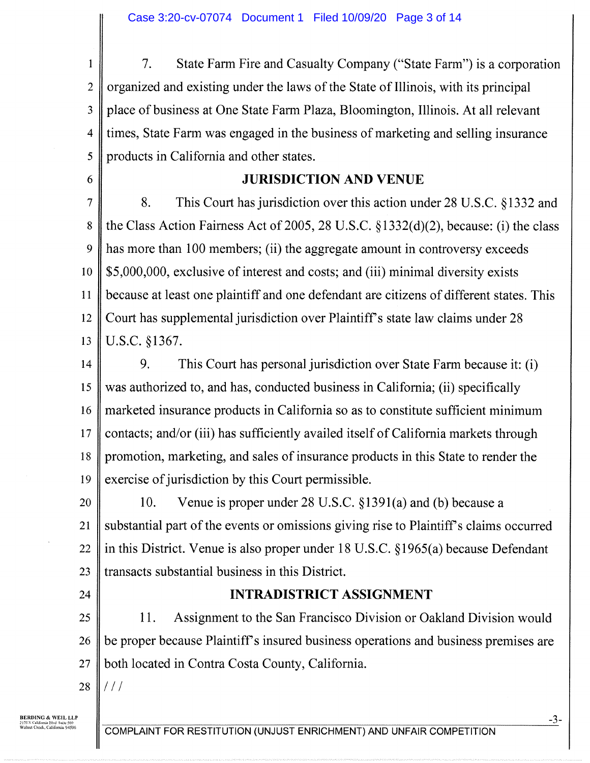1 2 3 4 5 7. State Farm Fire and Casualty Company ("State Farm") is a corporation organized and existing under the laws of the State of Illinois, with its principal place of business at One State Farm Plaza, Bloomington, Illinois. At all relevant times, State Farm was engaged in the business of marketing and selling insurance products in California and other states.

## JURISDICTION AND VENUE

7 8 9 10 1 1 12 13 8. This Court has jurisdiction over this action under 28 U.S.C. §1332 and the Class Action Fairness Act of 2005, 28 U.S.C. §1332(d)(2), because: (i) the class has more than 100 members; (ii) the aggregate amount in controversy exceeds \$5,000,000, exclusive of interest and costs; and (iii) minimal diversity exists because at least one plaintiff and one defendant are citizens of different states. This Court has supplemental jurisdiction over Plaintiff's state law claims under 28 U.S.C. §1367.

14 15 16 17 18 19 9. This Court has personal jurisdiction over State Farm because it: (i) was authorized to, and has, conducted business in California; (ii) specifically marketed insurance products in California so as to constitute sufficient minimum contacts; and/or (iii) has sufficiently availed itself of California markets through promotion, marketing, and sales of insurance products in this State to render the exercise of jurisdiction by this Court permissible.

20 21 22 23 10. Venue is proper under 28 U.S.C. §1391(a) and (b) because a substantial part of the events or omissions giving rise to Plaintiff's claims occurred in this District. Venue is also proper under 18 U.S.C. §1965(a) because Defendant transacts substantial business in this District.

24

6

## INTRADISTRICT ASSIGNMENT

25 26 27 11. Assignment to the San Francisco Division or Oakland Division would be proper because Plaintiff's insured business operations and business premises are both located in Contra Costa County, California.

28 // /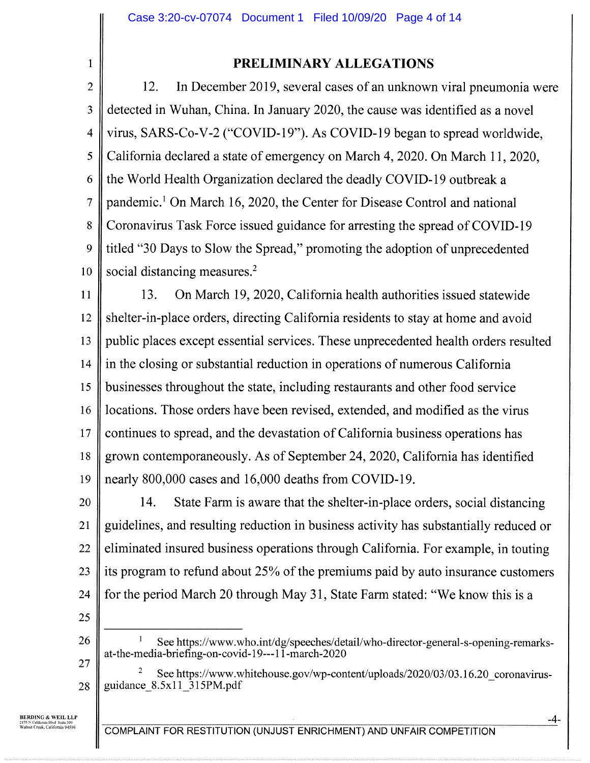1

# PRELIMINARY ALLEGATIONS

2 3 4 5 6 7 8 9 10 12. In December 2019, several cases of an unknown viral pneumonia were detected in Wuhan, China. In January 2020, the cause was identified as a novel virus, SARS-Co-V-2 ("COVID-19"). As COVID-19 began to spread worldwide, California declared a state of emergency on March 4, 2020. On March 11, 2020, the World Health Organization declared the deadly COVID-19 outbreak a pandemic.' On March 16, 2020, the Center for Disease Control and national Coronavirus Task Force issued guidance for arresting the spread of COVID-19 titled "30 Days to Slow the Spread," promoting the adoption of unprecedented social distancing measures.<sup>2</sup>

1 1 12 13 14 15 16 17 18 19 13. On March 19, 2020, California health authorities issued statewide shelter-in-place orders, directing California residents to stay at home and avoid public places except essential services. These unprecedented health orders resulted in the closing or substantial reduction in operations of numerous California businesses throughout the state, including restaurants and other food service locations. Those orders have been revised, extended, and modified as the virus continues to spread, and the devastation of California business operations has grown contemporaneously. As of September 24, 2020, California has identified nearly 800,000 cases and 16,000 deaths from COVID-19.

20 21 22 23 24 14. State Farm is aware that the shelter-in-place orders, social distancing guidelines, and resulting reduction in business activity has substantially reduced or eliminated insured business operations through California. For example, in touting its program to refund about 25% of the premiums paid by auto insurance customers for the period March 20 through May 31, State Farm stated: "We know this is a

25

26

See https://www.who.int/dg/speeches/detail/who-director-general-s-opening-remarksat-the-media-briefing-on-covid-19---11-march-2020

27 28 See https://www.whitehouse.gov/wp-content/uploads/2020/03/03.16.20\_coronavirusguidance\_8.5x11\_315PM.pdf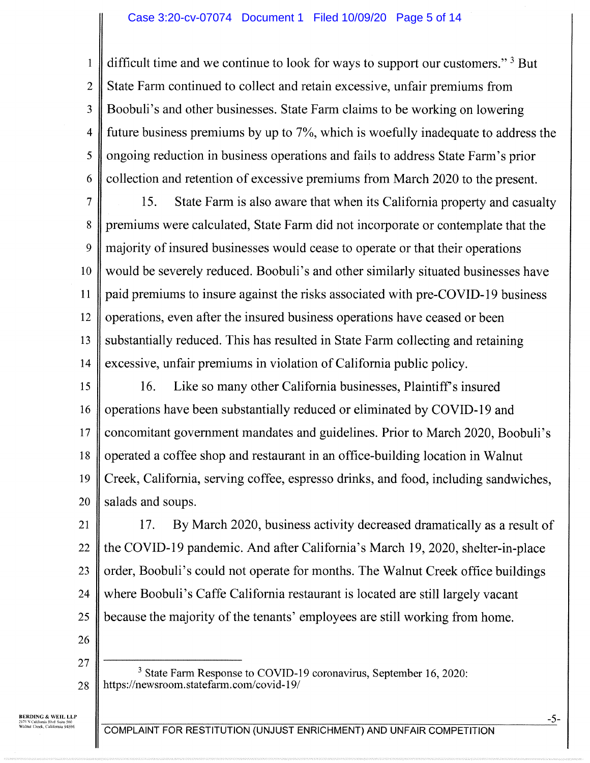#### Case 3:20-cv-07074 Document 1 Filed 10/09/20 Page 5 of 14

difficult time and we continue to look for ways to support our customers."<sup>3</sup> But State Farm continued to collect and retain excessive, unfair premiums from Boobuli's and other businesses. State Farm claims to be working on lowering future business premiums by up to 7%, which is woefully inadequate to address the ongoing reduction in business operations and fails to address State Fann's prior collection and retention of excessive premiums from March 2020 to the present.

7 8 9 10 **11** 12 13 14 15. State Farm is also aware that when its California property and casualty premiums were calculated, State Farm did not incorporate or contemplate that the majority of insured businesses would cease to operate or that their operations would be severely reduced. Boobuli's and other similarly situated businesses have paid premiums to insure against the risks associated with pre-COVID-19 business operations, even after the insured business operations have ceased or been substantially reduced. This has resulted in State Farm collecting and retaining excessive, unfair premiums in violation of California public policy.

15 16 17 18 19 20 16. Like so many other California businesses, Plaintiff's insured operations have been substantially reduced or eliminated by COVID-19 and concomitant government mandates and guidelines. Prior to March 2020, Boobuli's operated a coffee shop and restaurant in an office-building location in Walnut Creek, California, serving coffee, espresso drinks, and food, including sandwiches, salads and soups.

21 22 23 24 25 17. By March 2020, business activity decreased dramatically as a result of the COVID-19 pandemic. And after California's March 19, 2020, shelter-in-place order, Boobuli's could not operate for months. The Walnut Creek office buildings where Boobuli's Caffe California restaurant is located are still largely vacant because the majority of the tenants' employees are still working from home.

26 27

1

2

3

4

5

6

28 3 State Farm Response to COVID-19 coronavirus, September 16, 2020: https://newsroom.statefann.com/covid-19/

REEDING & WEIL LLP 2175 N California Blvd Suite 500<br>Walnut Creek, California 94596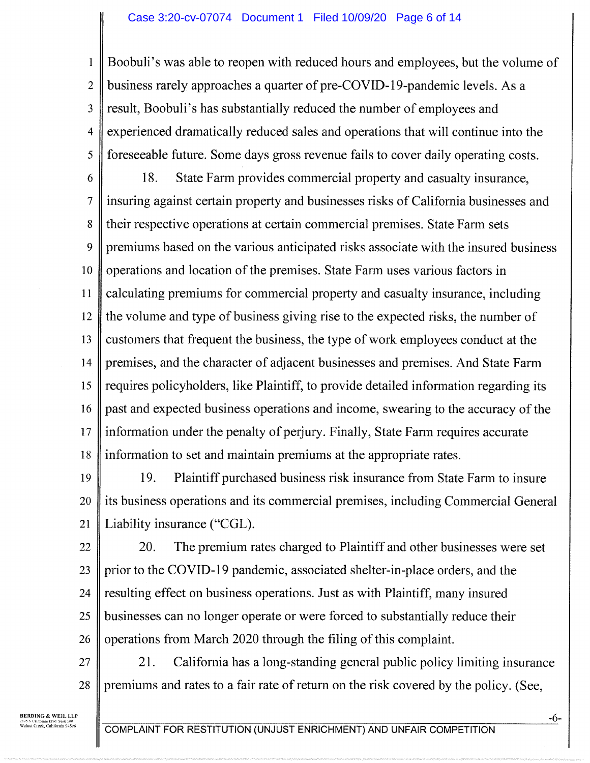#### Case 3:20-cv-07074 Document 1 Filed 10/09/20 Page 6 of 14

1 2 3 4 5 6 7 8 9 10 1 1 12 13 14 15 16 17 18 Boobuli's was able to reopen with reduced hours and employees, but the volume of business rarely approaches a quarter of pre-COVID-19-pandemic levels. As a result, Boobuli's has substantially reduced the number of employees and experienced dramatically reduced sales and operations that will continue into the foreseeable future. Some days gross revenue fails to cover daily operating costs. 18. State Farm provides commercial property and casualty insurance, insuring against certain property and businesses risks of California businesses and their respective operations at certain commercial premises. State Farm sets premiums based on the various anticipated risks associate with the insured business operations and location of the premises. State Farm uses various factors in calculating premiums for commercial property and casualty insurance, including the volume and type of business giving rise to the expected risks, the number of customers that frequent the business, the type of work employees conduct at the premises, and the character of adjacent businesses and premises. And State Farm requires policyholders, like Plaintiff, to provide detailed information regarding its past and expected business operations and income, swearing to the accuracy of the information under the penalty of perjury. Finally, State Farm requires accurate information to set and maintain premiums at the appropriate rates.

19 20 21 19. Plaintiff purchased business risk insurance from State Farm to insure its business operations and its commercial premises, including Commercial General Liability insurance ("CGL).

22 23 24 25 26 20. The premium rates charged to Plaintiff and other businesses were set prior to the COVID-19 pandemic, associated shelter-in-place orders, and the resulting effect on business operations. Just as with Plaintiff, many insured businesses can no longer operate or were forced to substantially reduce their operations from March 2020 through the filing of this complaint.

27 28 21. California has a long-standing general public policy limiting insurance premiums and rates to a fair rate of return on the risk covered by the policy. (See,

BEADING & WEIL LLP 2175 N Califomls Blvd Sulk 500 Welnw Creek, California 94596

COMPLAINT FOR RESTITUTION (UNJUST ENRICHMENT) AND UNFAIR COMPETITION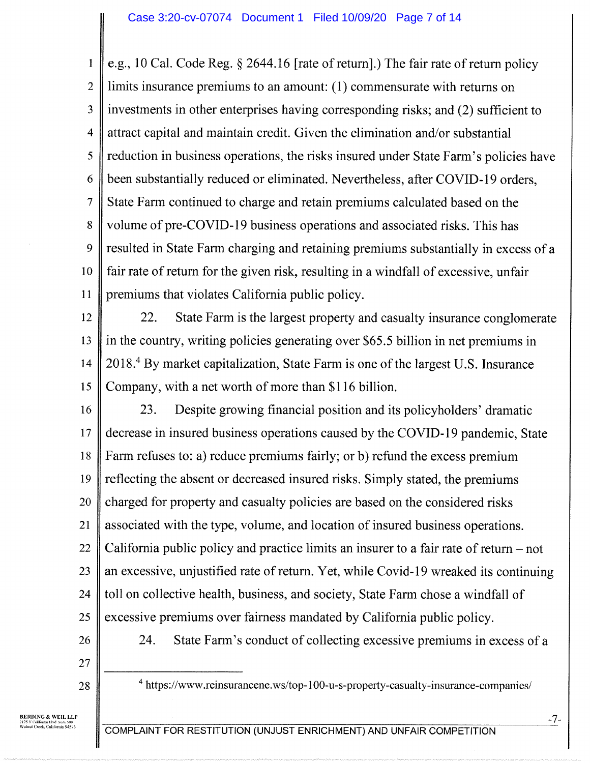1 2 3 4 5 6 7 8 9 10 **11** e.g., 10 Cal. Code Reg. § 2644.16 [rate of return].) The fair rate of return policy limits insurance premiums to an amount: (1) commensurate with returns on investments in other enterprises having corresponding risks; and (2) sufficient to attract capital and maintain credit. Given the elimination and/or substantial reduction in business operations, the risks insured under State Farm's policies have been substantially reduced or eliminated. Nevertheless, after COVID-19 orders, State Farm continued to charge and retain premiums calculated based on the volume of pre-COVID-19 business operations and associated risks. This has resulted in State Farm charging and retaining premiums substantially in excess of a fair rate of return for the given risk, resulting in a windfall of excessive, unfair premiums that violates California public policy.

12 13 14 15 22. State Farm is the largest property and casualty insurance conglomerate in the country, writing policies generating over \$65.5 billion in net premiums in 2018.4 By market capitalization, State Farm is one of the largest U.S. Insurance Company, with a net worth of more than \$116 billion.

16 17 18 19 20 21 22 23 24 25 26 23. Despite growing financial position and its policyholders' dramatic decrease in insured business operations caused by the COVID-19 pandemic, State Farm refuses to: a) reduce premiums fairly; or b) refund the excess premium reflecting the absent or decreased insured risks. Simply stated, the premiums charged for property and casualty policies are based on the considered risks associated with the type, volume, and location of insured business operations. California public policy and practice limits an insurer to a fair rate of return — not an excessive, unjustified rate of return. Yet, while Covid-19 wreaked its continuing toll on collective health, business, and society, State Farm chose a windfall of excessive premiums over fairness mandated by California public policy. 24. State Farm's conduct of collecting excessive premiums in excess of a

- 27
- 28

4 https://www.reinsurancene.ws/top-100-u-s-property-casualty-insurance-companies/

BERDING & WEIL LLP 2175 N Ca/ifomia Blvd Suite 500 Walwa Creek, California 94596

COMPLAINT FOR RESTITUTION (UNJUST ENRICHMENT) AND UNFAIR COMPETITION

-7-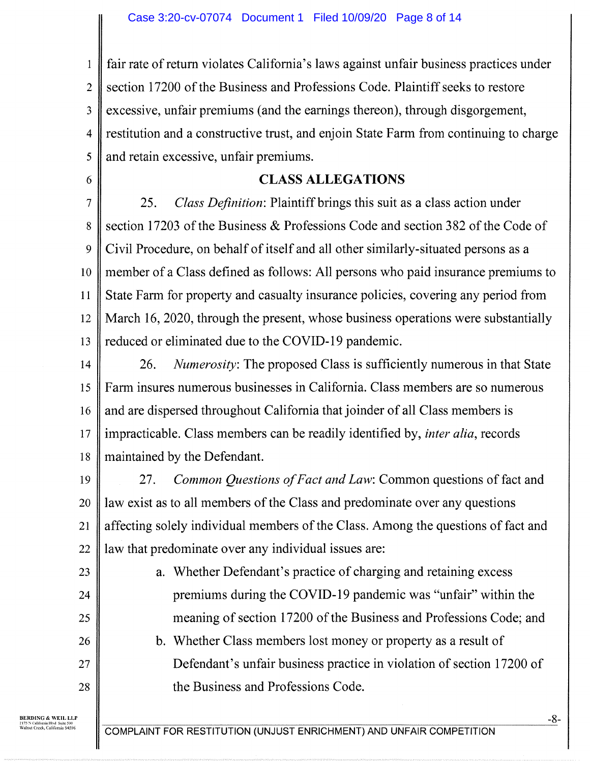1 2 3 4 5 fair rate of return violates California's laws against unfair business practices under section 17200 of the Business and Professions Code. Plaintiff seeks to restore excessive, unfair premiums (and the earnings thereon), through disgorgement, restitution and a constructive trust, and enjoin State Farm from continuing to charge and retain excessive, unfair premiums.

#### CLASS ALLEGATIONS

7 8 9 10 1 1 12 13 25. Class Definition: Plaintiff brings this suit as a class action under section 17203 of the Business & Professions Code and section 382 of the Code of Civil Procedure, on behalf of itself and all other similarly-situated persons as a member of a Class defined as follows: All persons who paid insurance premiums to State Farm for property and casualty insurance policies, covering any period from March 16, 2020, through the present, whose business operations were substantially reduced or eliminated due to the COVID-19 pandemic.

14 15 16 17 18 26. Numerosity: The proposed Class is sufficiently numerous in that State Farm insures numerous businesses in California. Class members are so numerous and are dispersed throughout California that joinder of all Class members is impracticable. Class members can be readily identified by, inter alia, records maintained by the Defendant.

19 20 21 22 27. Common Questions of Fact and Law: Common questions of fact and law exist as to all members of the Class and predominate over any questions affecting solely individual members of the Class. Among the questions of fact and law that predominate over any individual issues are:

28

6

a. Whether Defendant's practice of charging and retaining excess premiums during the COVID-19 pandemic was "unfair" within the meaning of section 17200 of the Business and Professions Code; and b. Whether Class members lost money or property as a result of

Defendant's unfair business practice in violation of section 17200 of the Business and Professions Code.

BEADING & WEIL LLP 2175 N California Blvd Sulk 500 Weblul Creek, California 94596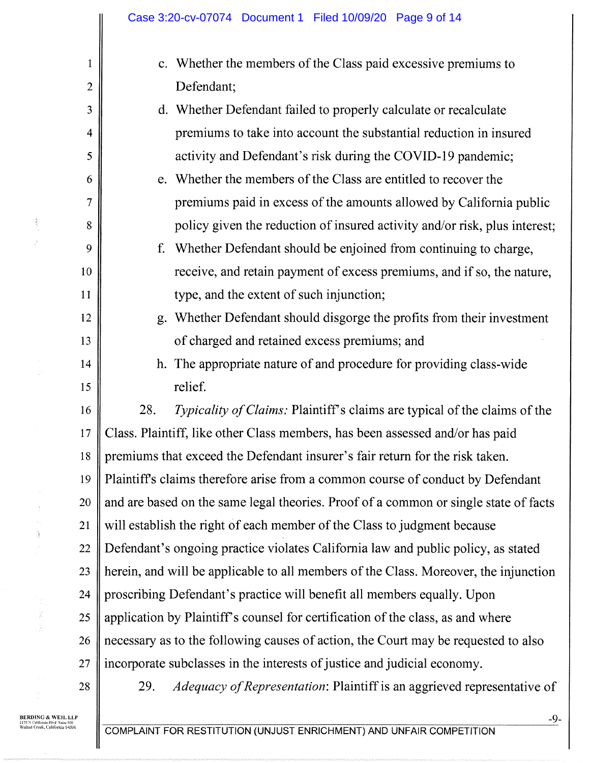| 1              | c. Whether the members of the Class paid excessive premiums to                        |  |  |  |  |
|----------------|---------------------------------------------------------------------------------------|--|--|--|--|
| $\overline{2}$ | Defendant;                                                                            |  |  |  |  |
| 3              | d. Whether Defendant failed to properly calculate or recalculate                      |  |  |  |  |
| $\overline{4}$ | premiums to take into account the substantial reduction in insured                    |  |  |  |  |
| 5              | activity and Defendant's risk during the COVID-19 pandemic;                           |  |  |  |  |
| 6              | e. Whether the members of the Class are entitled to recover the                       |  |  |  |  |
| $\tau$         | premiums paid in excess of the amounts allowed by California public                   |  |  |  |  |
| 8              | policy given the reduction of insured activity and/or risk, plus interest;            |  |  |  |  |
| 9              | Whether Defendant should be enjoined from continuing to charge,<br>f.                 |  |  |  |  |
| 10             | receive, and retain payment of excess premiums, and if so, the nature,                |  |  |  |  |
| 11             | type, and the extent of such injunction;                                              |  |  |  |  |
| 12             | g. Whether Defendant should disgorge the profits from their investment                |  |  |  |  |
| 13             | of charged and retained excess premiums; and                                          |  |  |  |  |
| 14             | h. The appropriate nature of and procedure for providing class-wide                   |  |  |  |  |
| 15             | relief.                                                                               |  |  |  |  |
| 16             | Typicality of Claims: Plaintiff's claims are typical of the claims of the<br>28.      |  |  |  |  |
| 17             | Class. Plaintiff, like other Class members, has been assessed and/or has paid         |  |  |  |  |
| 18             | premiums that exceed the Defendant insurer's fair return for the risk taken.          |  |  |  |  |
| 19             | Plaintiff's claims therefore arise from a common course of conduct by Defendant       |  |  |  |  |
| 20             | and are based on the same legal theories. Proof of a common or single state of facts  |  |  |  |  |
| 21             | will establish the right of each member of the Class to judgment because              |  |  |  |  |
| 22             | Defendant's ongoing practice violates California law and public policy, as stated     |  |  |  |  |
| 23             | herein, and will be applicable to all members of the Class. Moreover, the injunction  |  |  |  |  |
| 24             | proscribing Defendant's practice will benefit all members equally. Upon               |  |  |  |  |
| 25             | application by Plaintiff's counsel for certification of the class, as and where       |  |  |  |  |
| 26             | necessary as to the following causes of action, the Court may be requested to also    |  |  |  |  |
| 27             | incorporate subclasses in the interests of justice and judicial economy.              |  |  |  |  |
| 28             | <i>Adequacy of Representation: Plaintiff is an aggrieved representative of</i><br>29. |  |  |  |  |

**BERDING & WEIL LLP**<br>2175 N California Blvd Suite 500<br>Walnut Creek, California 94596

Ã

 $\widetilde{\mathcal{G}}_0$ Á

 $\mathbf l$ 

Ś

COMPLAINT FOR RESTITUTION (UNJUST ENRICHMENT) AND UNFAIR COMPETITION

-9-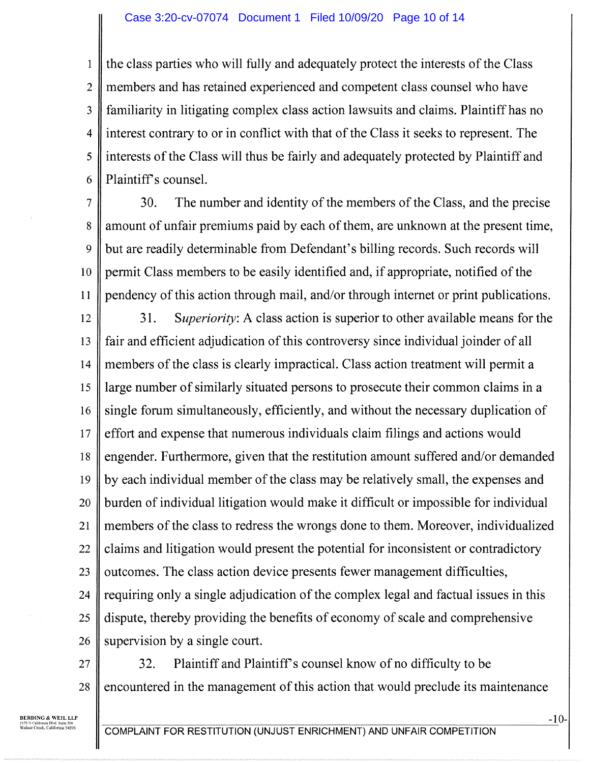1 2 3 4 5 6 the class parties who will fully and adequately protect the interests of the Class members and has retained experienced and competent class counsel who have familiarity in litigating complex class action lawsuits and claims. Plaintiff has no interest contrary to or in conflict with that of the Class it seeks to represent. The interests of the Class will thus be fairly and adequately protected by Plaintiff and Plaintiff's counsel.

7

8 9 10 1 1 30. The number and identity of the members of the Class, and the precise amount of unfair premiums paid by each of them, are unknown at the present time, but are readily determinable from Defendant's billing records. Such records will permit Class members to be easily identified and, if appropriate, notified of the pendency of this action through mail, and/or through internet or print publications.

12 13 14 15 16 17 18 19 20 21 22 23 24 25 26 31. Superiority: A class action is superior to other available means for the fair and efficient adjudication of this controversy since individual joinder of all members of the class is clearly impractical. Class action treatment will permit a large number of similarly situated persons to prosecute their common claims in a single forum simultaneously, efficiently, and without the necessary duplication of effort and expense that numerous individuals claim filings and actions would engender. Furthermore, given that the restitution amount suffered and/or demanded by each individual member of the class may be relatively small, the expenses and burden of individual litigation would make it difficult or impossible for individual members of the class to redress the wrongs done to them. Moreover, individualized claims and litigation would present the potential for inconsistent or contradictory outcomes. The class action device presents fewer management difficulties, requiring only a single adjudication of the complex legal and factual issues in this dispute, thereby providing the benefits of economy of scale and comprehensive supervision by a single court.

27 28 32. Plaintiff and Plaintiff's counsel know of no difficulty to be encountered in the management of this action that would preclude its maintenance

BEADING & WEIL LLP 2175 N Cobb:min Blvd Suite 500 Walnut Creek, California 94596

COMPLAINT FOR RESTITUTION (UNJUST ENRICHMENT) AND UNFAIR COMPETITION

-10-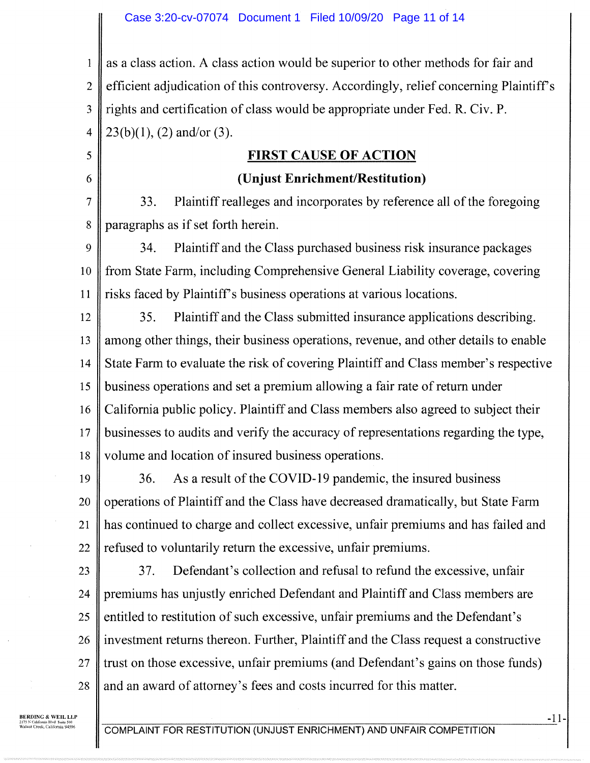1 2 3 4 as a class action. A class action would be superior to other methods for fair and efficient adjudication of this controversy. Accordingly, relief concerning Plaintiff's rights and certification of class would be appropriate under Fed. R. Civ. P.  $23(b)(1)$ , (2) and/or (3).

## FIRST CAUSE OF ACTION

#### (Unjust Enrichment/Restitution)

7 8 33. Plaintiff realleges and incorporates by reference all of the foregoing paragraphs as if set forth herein.

9 10 **11** 34. Plaintiff and the Class purchased business risk insurance packages from State Farm, including Comprehensive General Liability coverage, covering risks faced by Plaintiff's business operations at various locations.

12 13 14 15 16 17 18 35. Plaintiff and the Class submitted insurance applications describing. among other things, their business operations, revenue, and other details to enable State Farm to evaluate the risk of covering Plaintiff and Class member's respective business operations and set a premium allowing a fair rate of return under California public policy. Plaintiff and Class members also agreed to subject their businesses to audits and verify the accuracy of representations regarding the type, volume and location of insured business operations.

19 20 21 22 36. As a result of the COVID-19 pandemic, the insured business operations of Plaintiff and the Class have decreased dramatically, but State Farm has continued to charge and collect excessive, unfair premiums and has failed and refused to voluntarily return the excessive, unfair premiums.

23 24 25 26 27 28 37. Defendant's collection and refusal to refund the excessive, unfair premiums has unjustly enriched Defendant and Plaintiff and Class members are entitled to restitution of such excessive, unfair premiums and the Defendant's investment returns thereon. Further, Plaintiff and the Class request a constructive trust on those excessive, unfair premiums (and Defendant's gains on those funds) and an award of attorney's fees and costs incurred for this matter.

BERDING & WEIL LLP 2175 N California Blvd Suite 500 Wahua Creek, California 94596

5

6

COMPLAINT FOR RESTITUTION (UNJUST ENRICHMENT) AND UNFAIR COMPETITION

-11-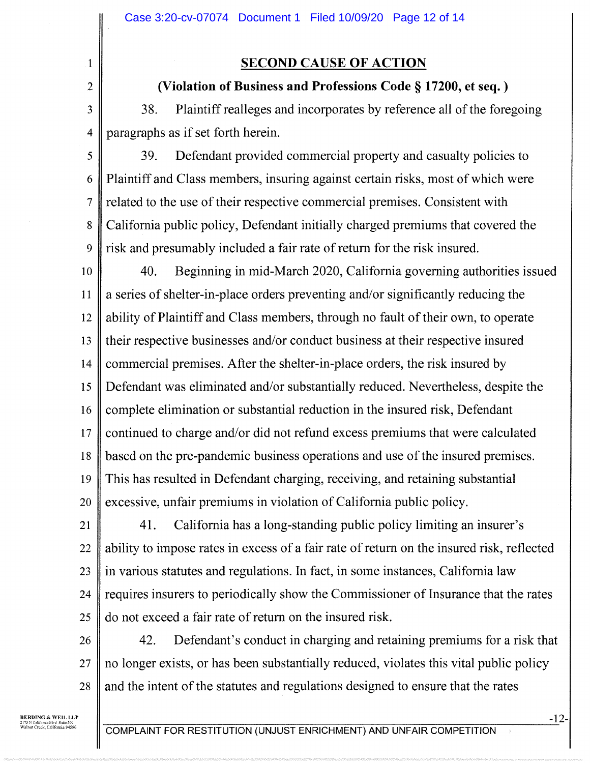## SECOND CAUSE OF ACTION

# (Violation of Business and Professions Code § 17200, et seq. )

38. Plaintiff realleges and incorporates by reference all of the foregoing paragraphs as if set forth herein.

5 6 7 8 9 39. Defendant provided commercial property and casualty policies to Plaintiff and Class members, insuring against certain risks, most of which were related to the use of their respective commercial premises. Consistent with California public policy, Defendant initially charged premiums that covered the risk and presumably included a fair rate of return for the risk insured.

10 **11** 12 13 14 15 16 17 18 19 20 40. Beginning in mid-March 2020, California governing authorities issued a series of shelter-in-place orders preventing and/or significantly reducing the ability of Plaintiff and Class members, through no fault of their own, to operate their respective businesses and/or conduct business at their respective insured commercial premises. After the shelter-in-place orders, the risk insured by Defendant was eliminated and/or substantially reduced. Nevertheless, despite the complete elimination or substantial reduction in the insured risk, Defendant continued to charge and/or did not refund excess premiums that were calculated based on the pre-pandemic business operations and use of the insured premises. This has resulted in Defendant charging, receiving, and retaining substantial excessive, unfair premiums in violation of California public policy.

21 22 23 24 25 41. California has a long-standing public policy limiting an insurer's ability to impose rates in excess of a fair rate of return on the insured risk, reflected in various statutes and regulations. In fact, in some instances, California law requires insurers to periodically show the Commissioner of Insurance that the rates do not exceed a fair rate of return on the insured risk.

26 27 28 42. Defendant's conduct in charging and retaining premiums for a risk that no longer exists, or has been substantially reduced, violates this vital public policy and the intent of the statutes and regulations designed to ensure that the rates

BEADING & WEIL LLP 2175 N California Blvd Suite 500<br>Walnut Creek, California 94596

1

2

3

4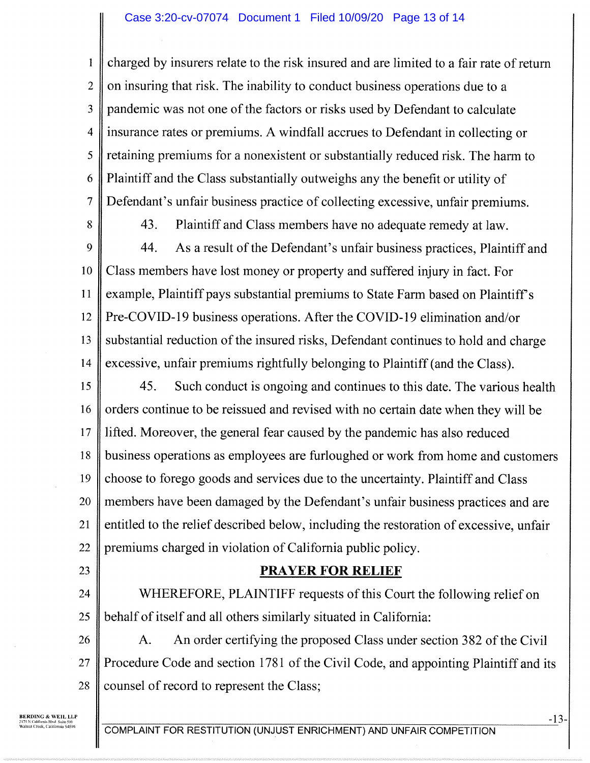#### Case 3:20-cv-07074 Document 1 Filed 10/09/20 Page 13 of 14

1 2 3 4 5 6 7 charged by insurers relate to the risk insured and are limited to a fair rate of return on insuring that risk. The inability to conduct business operations due to a pandemic was not one of the factors or risks used by Defendant to calculate insurance rates or premiums. A windfall accrues to Defendant in collecting or retaining premiums for a nonexistent or substantially reduced risk. The harm to Plaintiff and the Class substantially outweighs any the benefit or utility of Defendant's unfair business practice of collecting excessive, unfair premiums.

8

43. Plaintiff and Class members have no adequate remedy at law.

9 10 **11** 12 13 14 44. As a result of the Defendant's unfair business practices, Plaintiff and Class members have lost money or property and suffered injury in fact. For example, Plaintiff pays substantial premiums to State Farm based on Plaintiff's Pre-COVID-19 business operations. After the COVID-19 elimination and/or substantial reduction of the insured risks, Defendant continues to hold and charge excessive, unfair premiums rightfully belonging to Plaintiff (and the Class).

15 16 17 18 19 20 21 22 45. Such conduct is ongoing and continues to this date. The various health orders continue to be reissued and revised with no certain date when they will be lifted. Moreover, the general fear caused by the pandemic has also reduced business operations as employees are furloughed or work from home and customers choose to forego goods and services due to the uncertainty. Plaintiff and Class members have been damaged by the Defendant's unfair business practices and are entitled to the relief described below, including the restoration of excessive, unfair premiums charged in violation of California public policy.

- 23
- 

# PRAYER FOR RELIEF

24 25 WHEREFORE, PLAINTIFF requests of this Court the following relief on behalf of itself and all others similarly situated in California:

26 27 28 A. An order certifying the proposed Class under section 382 of the Civil Procedure Code and section 1781 of the Civil Code, and appointing Plaintiff and its counsel of record to represent the Class;

**BERDING & WEIL LLP**<br>2175 N California Blvd Suite 500<br>Walnut Creek, California 94596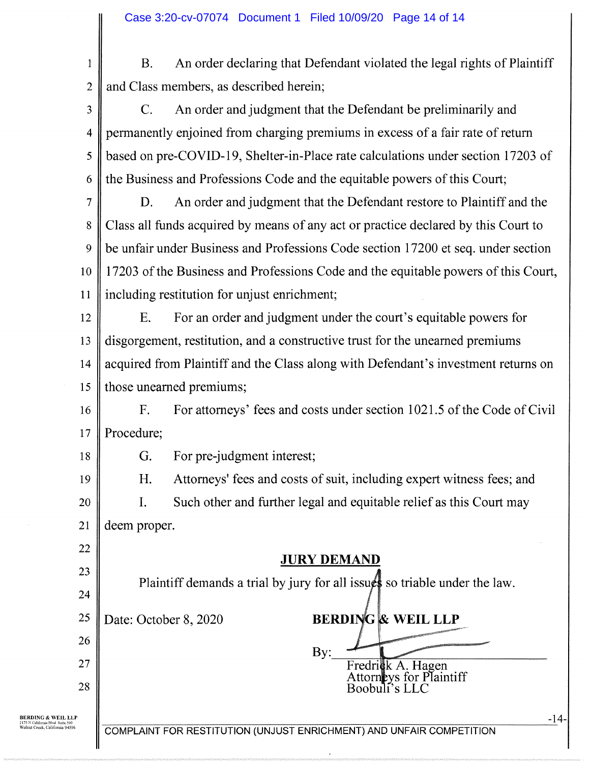

2

B. An order declaring that Defendant violated the legal rights of Plaintiff and Class members, as described herein;

3 4 5 6 C. An order and judgment that the Defendant be preliminarily and permanently enjoined from charging premiums in excess of a fair rate of return based on pre-COVID-19, Shelter-in-Place rate calculations under section 17203 of the Business and Professions Code and the equitable powers of this Court;

7 8 9 10 1 1 D. An order and judgment that the Defendant restore to Plaintiff and the Class all funds acquired by means of any act or practice declared by this Court to be unfair under Business and Professions Code section 17200 et seq. under section <sup>1</sup> 7203 of the Business and Professions Code and the equitable powers of this Court, including restitution for unjust enrichment;

12 13 14 15 E. For an order and judgment under the court's equitable powers for disgorgement, restitution, and a constructive trust for the unearned premiums acquired from Plaintiff and the Class along with Defendant's investment returns on those unearned premiums;

16 17 F. For attorneys' fees and costs under section 1021.5 of the Code of Civil Procedure;

18

22

23

24

26

28

G. For pre-judgment interest;

H. Attorneys' fees and costs of suit, including expert witness fees; and 19 Such other and further legal and equitable relief as this Court may 20  $\mathbf{I}$ . 21 deem proper.

JURY DEMAND

Plaintiff demands a trial by jury for all issues so triable under the law.

By:

Fredri**c**k A. Hagen Attorneys for Plaintiff

Boobuli's LLC

25 Date: October 8, 2020 BERDING & WEIL LLP

27

BERDING & WEIL LLP 2175 N California Blvd Suite 500<br>Walnui Creek, California 94596

COMPLAINT FOR RESTITUTION (UNJUST ENRICHMENT) AND UNFAIR COMPETITION

-14-